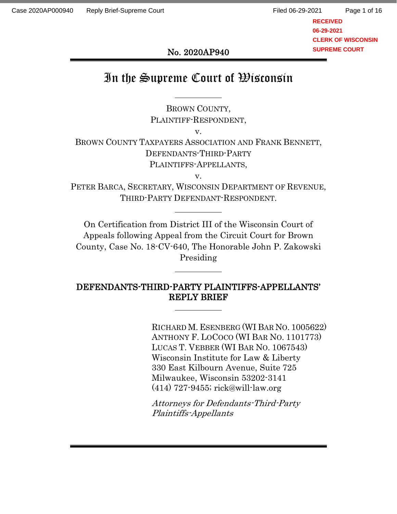No. 2020AP940

# In the Supreme Court of Wisconsin

BROWN COUNTY, PLAINTIFF-RESPONDENT,

v.

BROWN COUNTY TAXPAYERS ASSOCIATION AND FRANK BENNETT, DEFENDANTS-THIRD-PARTY PLAINTIFFS-APPELLANTS,

v.

PETER BARCA, SECRETARY, WISCONSIN DEPARTMENT OF REVENUE, THIRD-PARTY DEFENDANT-RESPONDENT.

On Certification from District III of the Wisconsin Court of Appeals following Appeal from the Circuit Court for Brown County, Case No. 18-CV-640, The Honorable John P. Zakowski Presiding

# DEFENDANTS-THIRD-PARTY PLAINTIFFS-APPELLANTS' REPLY BRIEF

RICHARD M. ESENBERG (WI BAR NO. 1005622) ANTHONY F. LOCOCO (WI BAR NO. 1101773) LUCAS T. VEBBER (WI BAR NO. 1067543) Wisconsin Institute for Law & Liberty 330 East Kilbourn Avenue, Suite 725 Milwaukee, Wisconsin 53202-3141 (414) 727-9455; rick@will-law.org

Attorneys for Defendants-Third-Party Plaintiffs-Appellants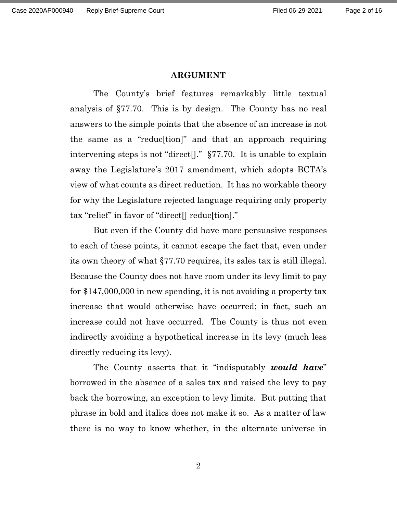### **ARGUMENT**

The County's brief features remarkably little textual analysis of §77.70. This is by design. The County has no real answers to the simple points that the absence of an increase is not the same as a "reduc[tion]" and that an approach requiring intervening steps is not "direct[]." §77.70. It is unable to explain away the Legislature's 2017 amendment, which adopts BCTA's view of what counts as direct reduction. It has no workable theory for why the Legislature rejected language requiring only property tax "relief" in favor of "direct[] reduc[tion]."

But even if the County did have more persuasive responses to each of these points, it cannot escape the fact that, even under its own theory of what §77.70 requires, its sales tax is still illegal. Because the County does not have room under its levy limit to pay for \$147,000,000 in new spending, it is not avoiding a property tax increase that would otherwise have occurred; in fact, such an increase could not have occurred. The County is thus not even indirectly avoiding a hypothetical increase in its levy (much less directly reducing its levy).

The County asserts that it "indisputably *would have*" borrowed in the absence of a sales tax and raised the levy to pay back the borrowing, an exception to levy limits. But putting that phrase in bold and italics does not make it so. As a matter of law there is no way to know whether, in the alternate universe in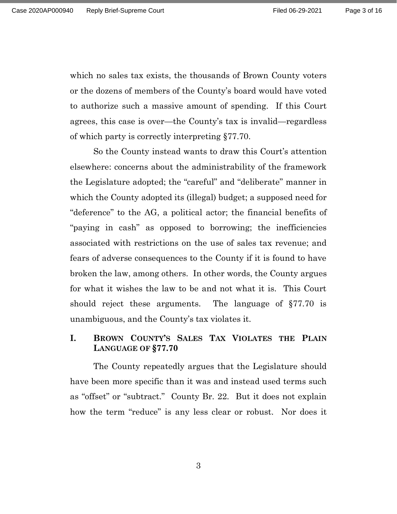which no sales tax exists, the thousands of Brown County voters or the dozens of members of the County's board would have voted to authorize such a massive amount of spending. If this Court agrees, this case is over—the County's tax is invalid—regardless of which party is correctly interpreting §77.70.

So the County instead wants to draw this Court's attention elsewhere: concerns about the administrability of the framework the Legislature adopted; the "careful" and "deliberate" manner in which the County adopted its (illegal) budget; a supposed need for "deference" to the AG, a political actor; the financial benefits of "paying in cash" as opposed to borrowing; the inefficiencies associated with restrictions on the use of sales tax revenue; and fears of adverse consequences to the County if it is found to have broken the law, among others. In other words, the County argues for what it wishes the law to be and not what it is. This Court should reject these arguments. The language of §77.70 is unambiguous, and the County's tax violates it.

# **I. BROWN COUNTY'S SALES TAX VIOLATES THE PLAIN LANGUAGE OF §77.70**

The County repeatedly argues that the Legislature should have been more specific than it was and instead used terms such as "offset" or "subtract." County Br. 22. But it does not explain how the term "reduce" is any less clear or robust. Nor does it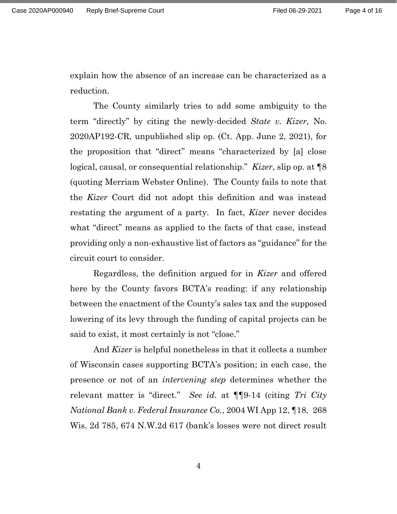explain how the absence of an increase can be characterized as a reduction.

The County similarly tries to add some ambiguity to the term "directly" by citing the newly-decided *State v. Kizer*, No. 2020AP192-CR, unpublished slip op. (Ct. App. June 2, 2021), for the proposition that "direct" means "characterized by [a] close logical, causal, or consequential relationship." *Kizer*, slip op. at ¶8 (quoting Merriam Webster Online). The County fails to note that the *Kizer* Court did not adopt this definition and was instead restating the argument of a party. In fact, *Kizer* never decides what "direct" means as applied to the facts of that case, instead providing only a non-exhaustive list of factors as "guidance" for the circuit court to consider.

Regardless, the definition argued for in *Kizer* and offered here by the County favors BCTA's reading: if any relationship between the enactment of the County's sales tax and the supposed lowering of its levy through the funding of capital projects can be said to exist, it most certainly is not "close."

And *Kizer* is helpful nonetheless in that it collects a number of Wisconsin cases supporting BCTA's position; in each case, the presence or not of an *intervening step* determines whether the relevant matter is "direct." *See id.* at ¶¶9-14 (citing *Tri City National Bank v. Federal Insurance Co.*, 2004 WI App 12, ¶18, 268 Wis. 2d 785, 674 N.W.2d 617 (bank's losses were not direct result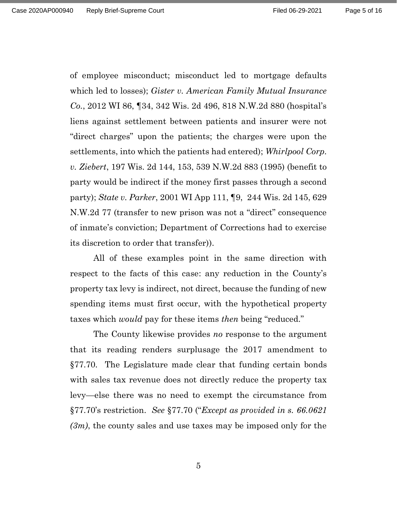of employee misconduct; misconduct led to mortgage defaults which led to losses); *Gister v. American Family Mutual Insurance Co.*, 2012 WI 86, ¶34, 342 Wis. 2d 496, 818 N.W.2d 880 (hospital's liens against settlement between patients and insurer were not "direct charges" upon the patients; the charges were upon the settlements, into which the patients had entered); *Whirlpool Corp. v. Ziebert*, 197 Wis. 2d 144, 153, 539 N.W.2d 883 (1995) (benefit to party would be indirect if the money first passes through a second party); *State v. Parker*, 2001 WI App 111, ¶9, 244 Wis. 2d 145, 629 N.W.2d 77 (transfer to new prison was not a "direct" consequence of inmate's conviction; Department of Corrections had to exercise its discretion to order that transfer)).

All of these examples point in the same direction with respect to the facts of this case: any reduction in the County's property tax levy is indirect, not direct, because the funding of new spending items must first occur, with the hypothetical property taxes which *would* pay for these items *then* being "reduced."

The County likewise provides *no* response to the argument that its reading renders surplusage the 2017 amendment to §77.70. The Legislature made clear that funding certain bonds with sales tax revenue does not directly reduce the property tax levy—else there was no need to exempt the circumstance from §77.70's restriction. *See* §77.70 ("*Except as provided in s. 66.0621 (3m)*, the county sales and use taxes may be imposed only for the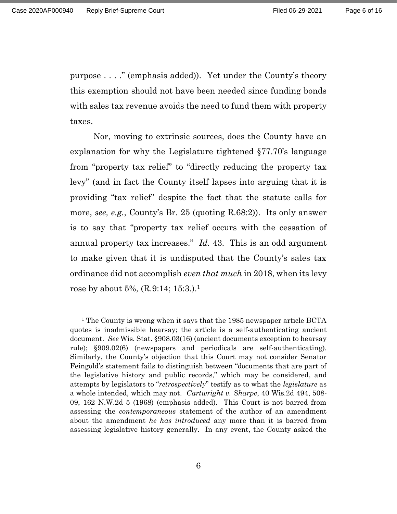purpose . . . ." (emphasis added)). Yet under the County's theory this exemption should not have been needed since funding bonds with sales tax revenue avoids the need to fund them with property taxes.

Nor, moving to extrinsic sources, does the County have an explanation for why the Legislature tightened §77.70's language from "property tax relief" to "directly reducing the property tax levy" (and in fact the County itself lapses into arguing that it is providing "tax relief" despite the fact that the statute calls for more, *see, e.g.*, County's Br. 25 (quoting R.68:2)). Its only answer is to say that "property tax relief occurs with the cessation of annual property tax increases." *Id.* 43. This is an odd argument to make given that it is undisputed that the County's sales tax ordinance did not accomplish *even that much* in 2018, when its levy rose by about 5%, (R.9:14; 15:3.).<sup>1</sup>

<sup>&</sup>lt;sup>1</sup> The County is wrong when it says that the 1985 newspaper article BCTA quotes is inadmissible hearsay; the article is a self-authenticating ancient document. *See* Wis. Stat. §908.03(16) (ancient documents exception to hearsay rule); §909.02(6) (newspapers and periodicals are self-authenticating). Similarly, the County's objection that this Court may not consider Senator Feingold's statement fails to distinguish between "documents that are part of the legislative history and public records," which may be considered, and attempts by legislators to "*retrospectively*" testify as to what the *legislature* as a whole intended, which may not. *Cartwright v. Sharpe*, 40 Wis.2d 494, 508- 09, 162 N.W.2d 5 (1968) (emphasis added). This Court is not barred from assessing the *contemporaneous* statement of the author of an amendment about the amendment *he has introduced* any more than it is barred from assessing legislative history generally. In any event, the County asked the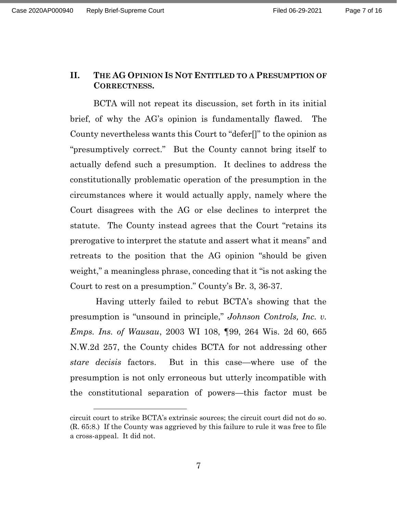# **II. THE AG OPINION IS NOT ENTITLED TO A PRESUMPTION OF CORRECTNESS.**

BCTA will not repeat its discussion, set forth in its initial brief, of why the AG's opinion is fundamentally flawed. The County nevertheless wants this Court to "defer[]" to the opinion as "presumptively correct." But the County cannot bring itself to actually defend such a presumption. It declines to address the constitutionally problematic operation of the presumption in the circumstances where it would actually apply, namely where the Court disagrees with the AG or else declines to interpret the statute. The County instead agrees that the Court "retains its prerogative to interpret the statute and assert what it means" and retreats to the position that the AG opinion "should be given weight," a meaningless phrase, conceding that it "is not asking the Court to rest on a presumption." County's Br. 3, 36-37.

Having utterly failed to rebut BCTA's showing that the presumption is "unsound in principle," *Johnson Controls, Inc. v. Emps. Ins. of Wausau*, 2003 WI 108, ¶99, 264 Wis. 2d 60, 665 N.W.2d 257, the County chides BCTA for not addressing other *stare decisis* factors. But in this case—where use of the presumption is not only erroneous but utterly incompatible with the constitutional separation of powers—this factor must be

circuit court to strike BCTA's extrinsic sources; the circuit court did not do so. (R. 65:8.) If the County was aggrieved by this failure to rule it was free to file a cross-appeal. It did not.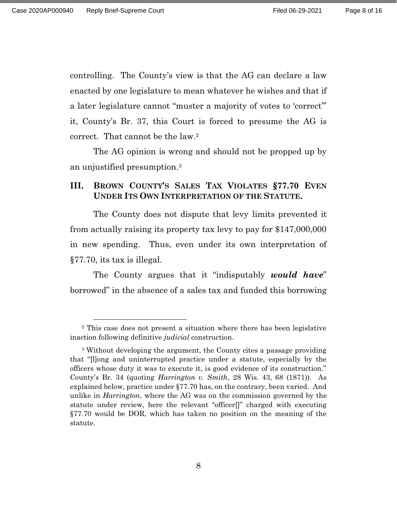controlling. The County's view is that the AG can declare a law enacted by one legislature to mean whatever he wishes and that if a later legislature cannot "muster a majority of votes to 'correct'" it, County's Br. 37, this Court is forced to presume the AG is correct. That cannot be the law.<sup>2</sup>

The AG opinion is wrong and should not be propped up by an unjustified presumption. 3

# **III. BROWN COUNTY'S SALES TAX VIOLATES §77.70 EVEN UNDER ITS OWN INTERPRETATION OF THE STATUTE.**

The County does not dispute that levy limits prevented it from actually raising its property tax levy to pay for \$147,000,000 in new spending. Thus, even under its own interpretation of §77.70, its tax is illegal.

The County argues that it "indisputably *would have*" borrowed" in the absence of a sales tax and funded this borrowing

<sup>2</sup> This case does not present a situation where there has been legislative inaction following definitive *judicial* construction.

<sup>3</sup> Without developing the argument, the County cites a passage providing that "[l]ong and uninterrupted practice under a statute, especially by the officers whose duty it was to execute it, is good evidence of its construction." County's Br. 34 (quoting *Harrington v. Smith*, 28 Wis. 43, 68 (1871)). As explained below, practice under §77.70 has, on the contrary, been varied. And unlike in *Harrington*, where the AG was on the commission governed by the statute under review, here the relevant "officer[]" charged with executing §77.70 would be DOR, which has taken no position on the meaning of the statute.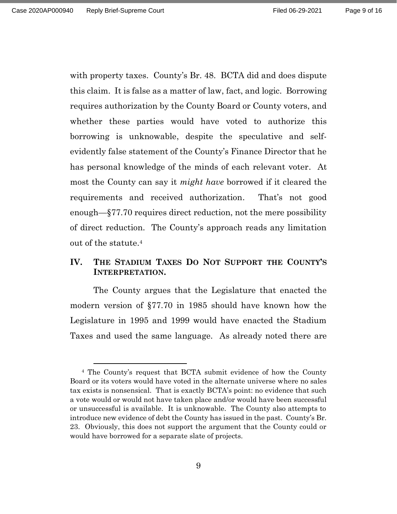with property taxes. County's Br. 48. BCTA did and does dispute this claim. It is false as a matter of law, fact, and logic. Borrowing requires authorization by the County Board or County voters, and whether these parties would have voted to authorize this borrowing is unknowable, despite the speculative and selfevidently false statement of the County's Finance Director that he has personal knowledge of the minds of each relevant voter. At most the County can say it *might have* borrowed if it cleared the requirements and received authorization. That's not good enough—§77.70 requires direct reduction, not the mere possibility of direct reduction. The County's approach reads any limitation out of the statute.<sup>4</sup>

# **IV. THE STADIUM TAXES DO NOT SUPPORT THE COUNTY'S INTERPRETATION.**

The County argues that the Legislature that enacted the modern version of §77.70 in 1985 should have known how the Legislature in 1995 and 1999 would have enacted the Stadium Taxes and used the same language. As already noted there are

<sup>4</sup> The County's request that BCTA submit evidence of how the County Board or its voters would have voted in the alternate universe where no sales tax exists is nonsensical. That is exactly BCTA's point: no evidence that such a vote would or would not have taken place and/or would have been successful or unsuccessful is available. It is unknowable. The County also attempts to introduce new evidence of debt the County has issued in the past. County's Br. 23. Obviously, this does not support the argument that the County could or would have borrowed for a separate slate of projects.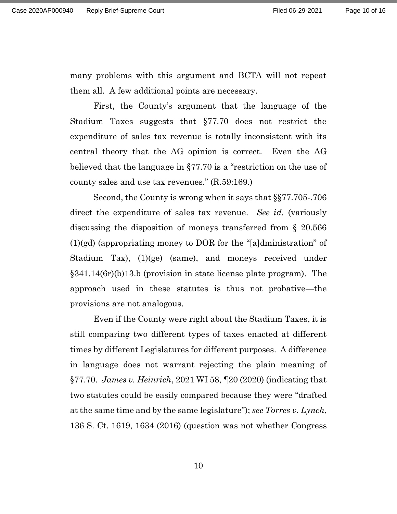many problems with this argument and BCTA will not repeat them all. A few additional points are necessary.

First, the County's argument that the language of the Stadium Taxes suggests that §77.70 does not restrict the expenditure of sales tax revenue is totally inconsistent with its central theory that the AG opinion is correct. Even the AG believed that the language in §77.70 is a "restriction on the use of county sales and use tax revenues." (R.59:169.)

Second, the County is wrong when it says that §§77.705-.706 direct the expenditure of sales tax revenue. *See id.* (variously discussing the disposition of moneys transferred from § 20.566 (1)(gd) (appropriating money to DOR for the "[a]dministration" of Stadium Tax), (1)(ge) (same), and moneys received under §341.14(6r)(b)13.b (provision in state license plate program). The approach used in these statutes is thus not probative—the provisions are not analogous.

Even if the County were right about the Stadium Taxes, it is still comparing two different types of taxes enacted at different times by different Legislatures for different purposes. A difference in language does not warrant rejecting the plain meaning of §77.70. *James v. Heinrich*, 2021 WI 58, ¶20 (2020) (indicating that two statutes could be easily compared because they were "drafted at the same time and by the same legislature"); *see Torres v. Lynch*, 136 S. Ct. 1619, 1634 (2016) (question was not whether Congress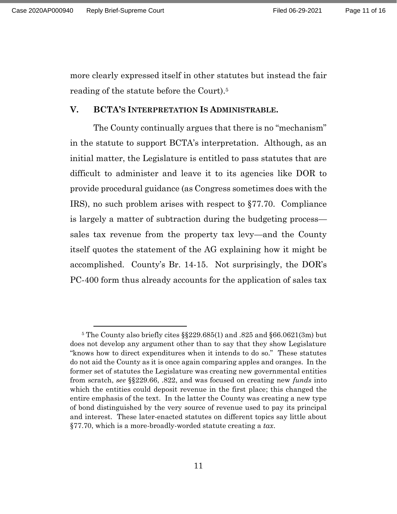more clearly expressed itself in other statutes but instead the fair reading of the statute before the Court).<sup>5</sup>

### **V. BCTA'S INTERPRETATION IS ADMINISTRABLE.**

The County continually argues that there is no "mechanism" in the statute to support BCTA's interpretation. Although, as an initial matter, the Legislature is entitled to pass statutes that are difficult to administer and leave it to its agencies like DOR to provide procedural guidance (as Congress sometimes does with the IRS), no such problem arises with respect to §77.70. Compliance is largely a matter of subtraction during the budgeting process sales tax revenue from the property tax levy—and the County itself quotes the statement of the AG explaining how it might be accomplished. County's Br. 14-15. Not surprisingly, the DOR's PC-400 form thus already accounts for the application of sales tax

<sup>5</sup> The County also briefly cites §§229.685(1) and .825 and §66.0621(3m) but does not develop any argument other than to say that they show Legislature "knows how to direct expenditures when it intends to do so." These statutes do not aid the County as it is once again comparing apples and oranges. In the former set of statutes the Legislature was creating new governmental entities from scratch, *see* §§229.66, .822, and was focused on creating new *funds* into which the entities could deposit revenue in the first place; this changed the entire emphasis of the text. In the latter the County was creating a new type of bond distinguished by the very source of revenue used to pay its principal and interest. These later-enacted statutes on different topics say little about §77.70, which is a more-broadly-worded statute creating a *tax*.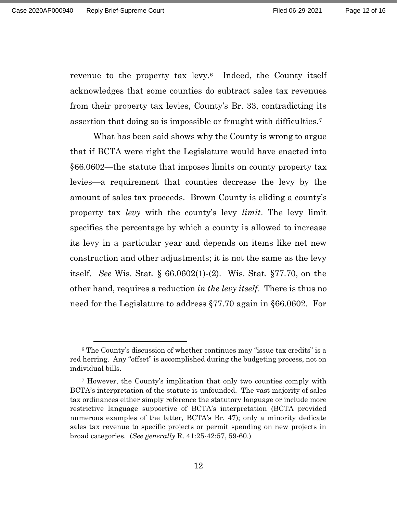revenue to the property tax levy.6 Indeed, the County itself acknowledges that some counties do subtract sales tax revenues from their property tax levies, County's Br. 33, contradicting its assertion that doing so is impossible or fraught with difficulties.<sup>7</sup>

What has been said shows why the County is wrong to argue that if BCTA were right the Legislature would have enacted into §66.0602—the statute that imposes limits on county property tax levies—a requirement that counties decrease the levy by the amount of sales tax proceeds. Brown County is eliding a county's property tax *levy* with the county's levy *limit*. The levy limit specifies the percentage by which a county is allowed to increase its levy in a particular year and depends on items like net new construction and other adjustments; it is not the same as the levy itself. *See* Wis. Stat. § 66.0602(1)-(2). Wis. Stat. §77.70, on the other hand, requires a reduction *in the levy itself*. There is thus no need for the Legislature to address §77.70 again in §66.0602. For

<sup>6</sup> The County's discussion of whether continues may "issue tax credits" is a red herring. Any "offset" is accomplished during the budgeting process, not on individual bills.

<sup>7</sup> However, the County's implication that only two counties comply with BCTA's interpretation of the statute is unfounded. The vast majority of sales tax ordinances either simply reference the statutory language or include more restrictive language supportive of BCTA's interpretation (BCTA provided numerous examples of the latter, BCTA's Br. 47); only a minority dedicate sales tax revenue to specific projects or permit spending on new projects in broad categories. (*See generally* R. 41:25-42:57, 59-60.)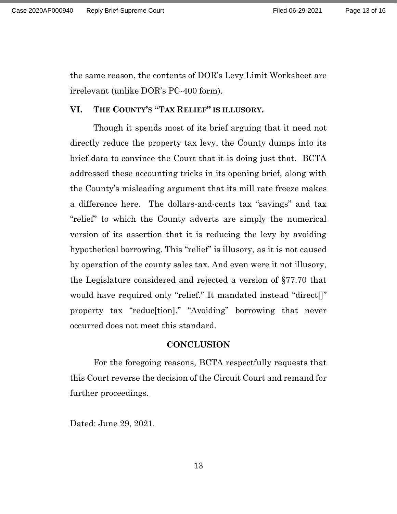the same reason, the contents of DOR's Levy Limit Worksheet are irrelevant (unlike DOR's PC-400 form).

### **VI. THE COUNTY'S "TAX RELIEF" IS ILLUSORY.**

Though it spends most of its brief arguing that it need not directly reduce the property tax levy, the County dumps into its brief data to convince the Court that it is doing just that. BCTA addressed these accounting tricks in its opening brief, along with the County's misleading argument that its mill rate freeze makes a difference here. The dollars-and-cents tax "savings" and tax "relief" to which the County adverts are simply the numerical version of its assertion that it is reducing the levy by avoiding hypothetical borrowing. This "relief" is illusory, as it is not caused by operation of the county sales tax. And even were it not illusory, the Legislature considered and rejected a version of §77.70 that would have required only "relief." It mandated instead "direct[]" property tax "reduc[tion]." "Avoiding" borrowing that never occurred does not meet this standard.

#### **CONCLUSION**

For the foregoing reasons, BCTA respectfully requests that this Court reverse the decision of the Circuit Court and remand for further proceedings.

Dated: June 29, 2021.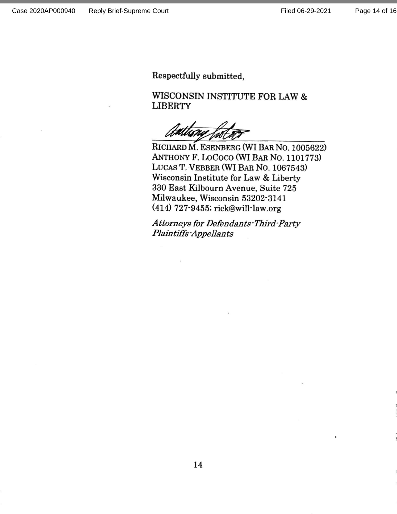Respectfully submitted,

WISCONSIN INSTITUTE FOR LAW & **LIBERTY** 

RICHARD M. ESENBERG (WI BAR NO. 1005622) ANTHONY F. LOCOCO (WI BAR NO. 1101773) LUCAS T. VEBBER (WI BAR NO. 1067543) Wisconsin Institute for Law & Liberty 330 East Kilbourn Avenue, Suite 725 Milwaukee, Wisconsin 53202-3141 (414) 727-9455; rick@will-law.org

Attorneys for Defendants-Third-Party **Plaintiffs-Appellants**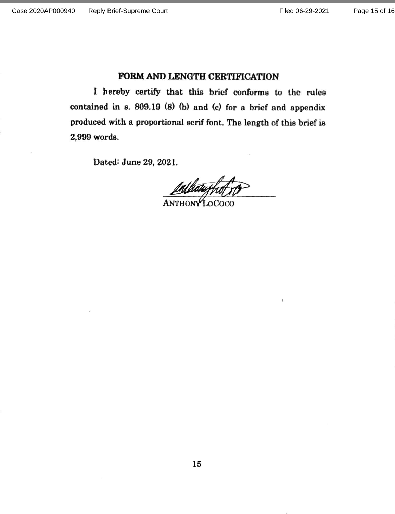### FORM AND LENGTH CERTIFICATION

I hereby certify that this brief conforms to the rules contained in s. 809.19 (8) (b) and (c) for a brief and appendix produced with a proportional serif font. The length of this brief is 2,999 words.

Dated: June 29, 2021.

Mhawr **ANTHONY LOCOCO**